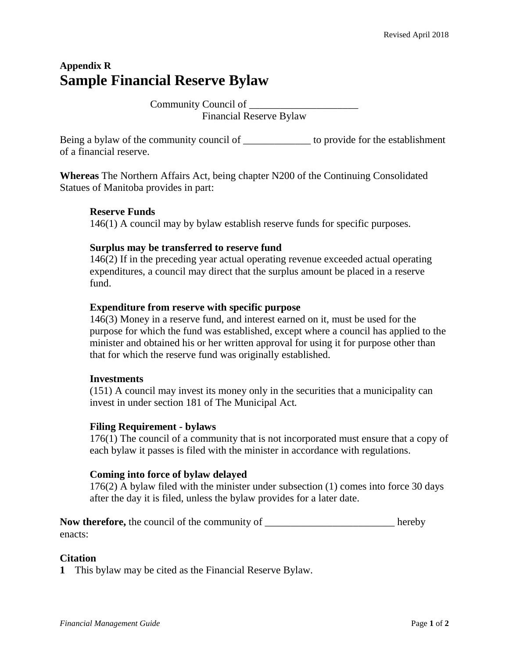# **Appendix R Sample Financial Reserve Bylaw**

Community Council of \_\_\_\_\_\_\_\_\_\_\_\_\_\_\_\_\_\_\_\_\_ Financial Reserve Bylaw

Being a bylaw of the community council of \_\_\_\_\_\_\_\_\_\_\_\_\_\_\_ to provide for the establishment of a financial reserve.

**Whereas** The Northern Affairs Act*,* being chapter N200 of the Continuing Consolidated Statues of Manitoba provides in part:

## **Reserve Funds**

146(1) A council may by bylaw establish reserve funds for specific purposes.

### **Surplus may be transferred to reserve fund**

146(2) If in the preceding year actual operating revenue exceeded actual operating expenditures, a council may direct that the surplus amount be placed in a reserve fund.

## **Expenditure from reserve with specific purpose**

146(3) Money in a reserve fund, and interest earned on it, must be used for the purpose for which the fund was established, except where a council has applied to the minister and obtained his or her written approval for using it for purpose other than that for which the reserve fund was originally established.

### **Investments**

(151) A council may invest its money only in the securities that a municipality can invest in under section 181 of The Municipal Act*.*

### **Filing Requirement - bylaws**

176(1) The council of a community that is not incorporated must ensure that a copy of each bylaw it passes is filed with the minister in accordance with regulations.

### **Coming into force of bylaw delayed**

176(2) A bylaw filed with the minister under subsection (1) comes into force 30 days after the day it is filed, unless the bylaw provides for a later date.

**Now therefore,** the council of the community of  $\blacksquare$ enacts:

### **Citation**

**1** This bylaw may be cited as the Financial Reserve Bylaw.